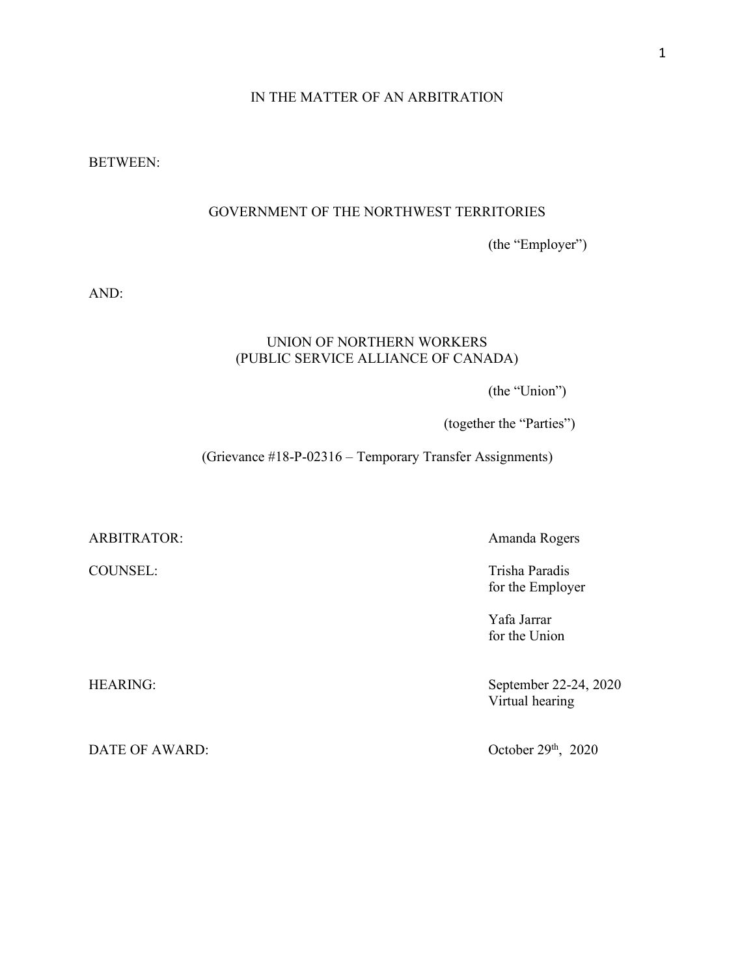## IN THE MATTER OF AN ARBITRATION

BETWEEN:

# GOVERNMENT OF THE NORTHWEST TERRITORIES

(the "Employer")

AND:

## UNION OF NORTHERN WORKERS (PUBLIC SERVICE ALLIANCE OF CANADA)

(the "Union")

(together the "Parties")

(Grievance #18-P-02316 – Temporary Transfer Assignments)

ARBITRATOR: Amanda Rogers

DATE OF AWARD:

COUNSEL: Trisha Paradis for the Employer

> Yafa Jarrar for the Union

HEARING: September 22-24, 2020 Virtual hearing

October 29<sup>th</sup>, 2020

1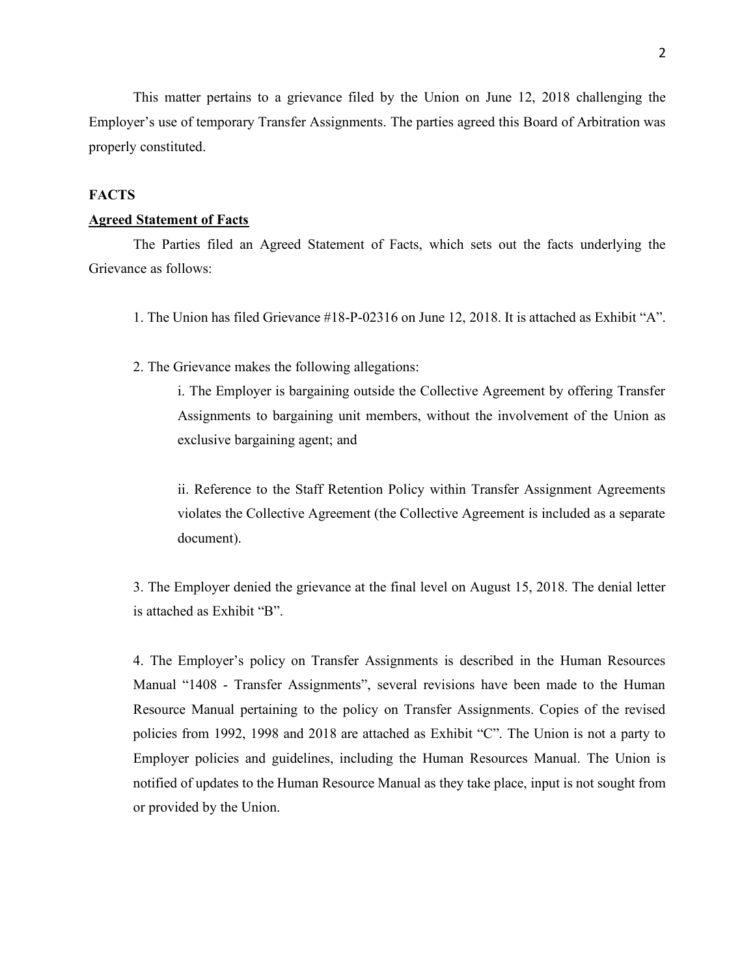This matter pertains to a grievance filed by the Union on June 12, 2018 challenging the Employer's use of temporary Transfer Assignments. The parties agreed this Board of Arbitration was properly constituted.

#### **FACTS**

## **Agreed Statement of Facts**

The Parties filed an Agreed Statement of Facts, which sets out the facts underlying the Grievance as follows:

- 1. The Union has filed Grievance #18-P-02316 on June 12, 2018. It is attached as Exhibit "A".
- 2. The Grievance makes the following allegations:

i. The Employer is bargaining outside the Collective Agreement by offering Transfer Assignments to bargaining unit members, without the involvement of the Union as exclusive bargaining agent; and

ii. Reference to the Staff Retention Policy within Transfer Assignment Agreements violates the Collective Agreement (the Collective Agreement is included as a separate document).

3. The Employer denied the grievance at the final level on August 15, 2018. The denial letter is attached as Exhibit "B".

4. The Employer's policy on Transfer Assignments is described in the Human Resources Manual "1408 - Transfer Assignments", several revisions have been made to the Human Resource Manual pertaining to the policy on Transfer Assignments. Copies of the revised policies from 1992, 1998 and 2018 are attached as Exhibit "C". The Union is not a party to Employer policies and guidelines, including the Human Resources Manual. The Union is notified of updates to the Human Resource Manual as they take place, input is not sought from or provided by the Union.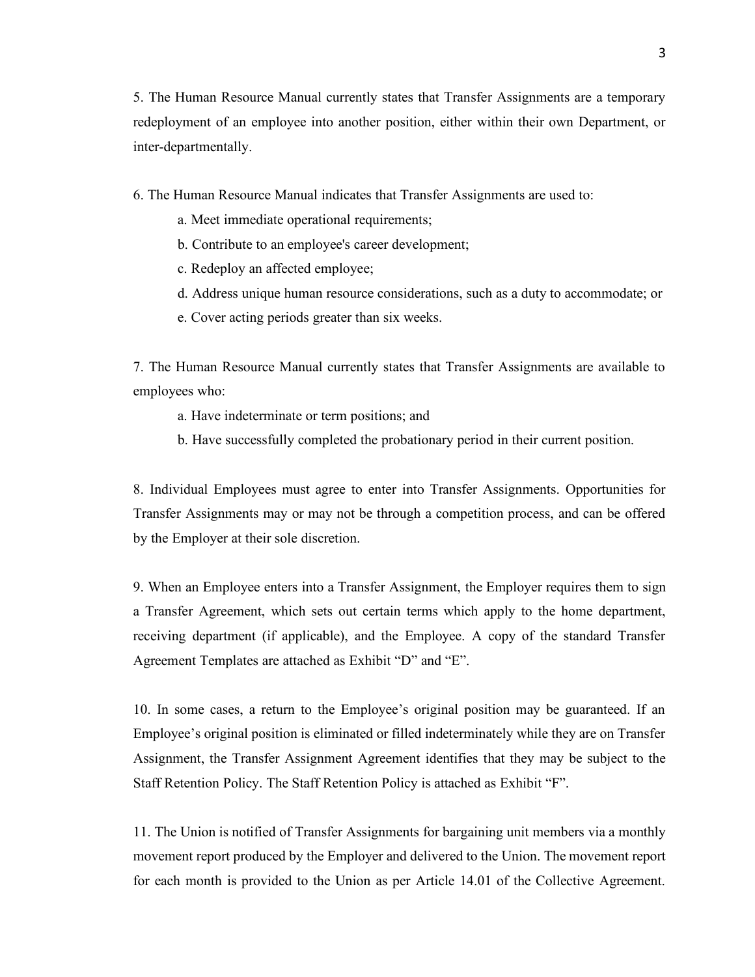5. The Human Resource Manual currently states that Transfer Assignments are a temporary redeployment of an employee into another position, either within their own Department, or inter-departmentally.

6. The Human Resource Manual indicates that Transfer Assignments are used to:

- a. Meet immediate operational requirements;
- b. Contribute to an employee's career development;
- c. Redeploy an affected employee;
- d. Address unique human resource considerations, such as a duty to accommodate; or
- e. Cover acting periods greater than six weeks.

7. The Human Resource Manual currently states that Transfer Assignments are available to employees who:

- a. Have indeterminate or term positions; and
- b. Have successfully completed the probationary period in their current position.

8. Individual Employees must agree to enter into Transfer Assignments. Opportunities for Transfer Assignments may or may not be through a competition process, and can be offered by the Employer at their sole discretion.

9. When an Employee enters into a Transfer Assignment, the Employer requires them to sign a Transfer Agreement, which sets out certain terms which apply to the home department, receiving department (if applicable), and the Employee. A copy of the standard Transfer Agreement Templates are attached as Exhibit "D" and "E".

10. In some cases, a return to the Employee's original position may be guaranteed. If an Employee's original position is eliminated or filled indeterminately while they are on Transfer Assignment, the Transfer Assignment Agreement identifies that they may be subject to the Staff Retention Policy. The Staff Retention Policy is attached as Exhibit "F".

11. The Union is notified of Transfer Assignments for bargaining unit members via a monthly movement report produced by the Employer and delivered to the Union. The movement report for each month is provided to the Union as per Article 14.01 of the Collective Agreement.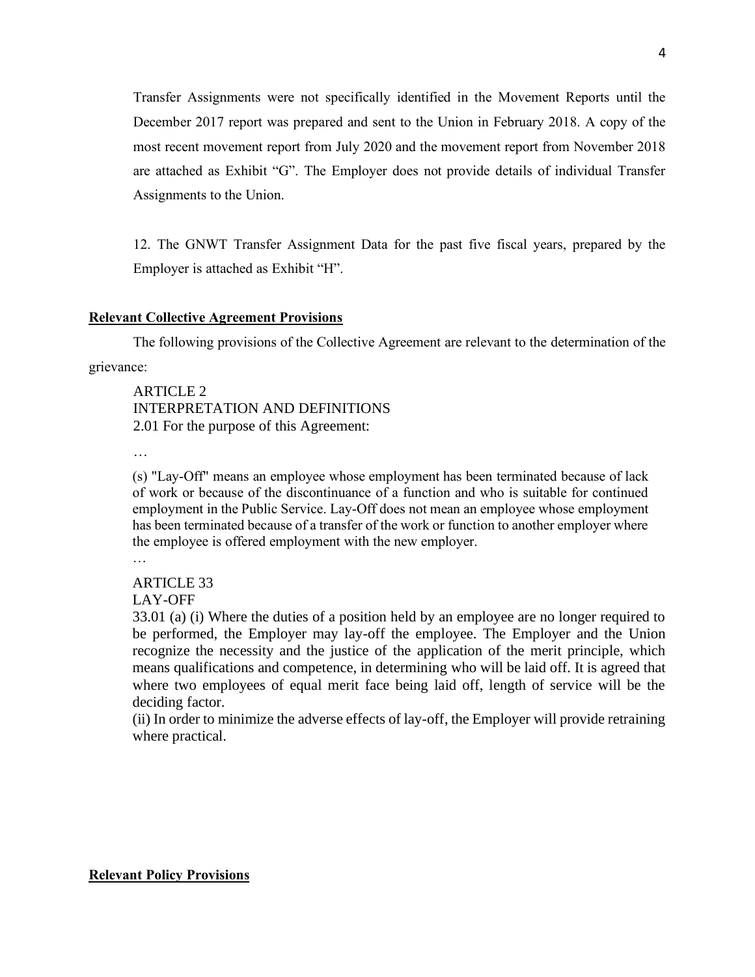Transfer Assignments were not specifically identified in the Movement Reports until the December 2017 report was prepared and sent to the Union in February 2018. A copy of the most recent movement report from July 2020 and the movement report from November 2018 are attached as Exhibit "G". The Employer does not provide details of individual Transfer Assignments to the Union.

12. The GNWT Transfer Assignment Data for the past five fiscal years, prepared by the Employer is attached as Exhibit "H".

#### **Relevant Collective Agreement Provisions**

The following provisions of the Collective Agreement are relevant to the determination of the grievance:

ARTICLE 2 INTERPRETATION AND DEFINITIONS 2.01 For the purpose of this Agreement:

…

(s) "Lay-Off" means an employee whose employment has been terminated because of lack of work or because of the discontinuance of a function and who is suitable for continued employment in the Public Service. Lay-Off does not mean an employee whose employment has been terminated because of a transfer of the work or function to another employer where the employee is offered employment with the new employer. …

ARTICLE 33

LAY-OFF

33.01 (a) (i) Where the duties of a position held by an employee are no longer required to be performed, the Employer may lay-off the employee. The Employer and the Union recognize the necessity and the justice of the application of the merit principle, which means qualifications and competence, in determining who will be laid off. It is agreed that where two employees of equal merit face being laid off, length of service will be the deciding factor.

(ii) In order to minimize the adverse effects of lay-off, the Employer will provide retraining where practical.

**Relevant Policy Provisions**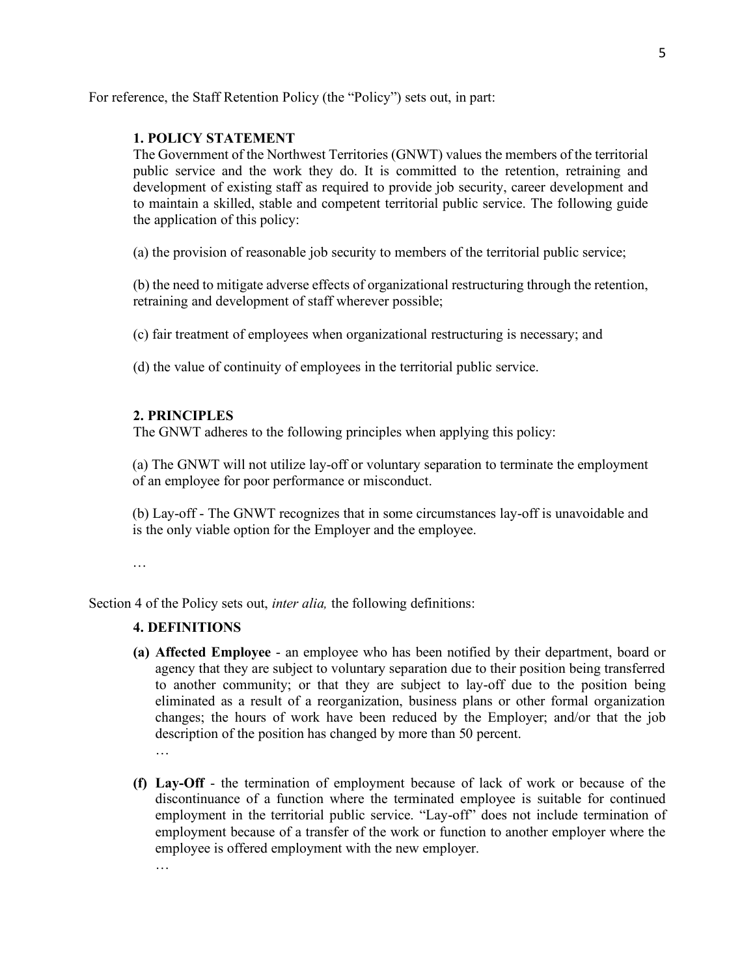For reference, the Staff Retention Policy (the "Policy") sets out, in part:

## **1. POLICY STATEMENT**

The Government of the Northwest Territories (GNWT) values the members of the territorial public service and the work they do. It is committed to the retention, retraining and development of existing staff as required to provide job security, career development and to maintain a skilled, stable and competent territorial public service. The following guide the application of this policy:

(a) the provision of reasonable job security to members of the territorial public service;

(b) the need to mitigate adverse effects of organizational restructuring through the retention, retraining and development of staff wherever possible;

(c) fair treatment of employees when organizational restructuring is necessary; and

(d) the value of continuity of employees in the territorial public service.

# **2. PRINCIPLES**

The GNWT adheres to the following principles when applying this policy:

(a) The GNWT will not utilize lay-off or voluntary separation to terminate the employment of an employee for poor performance or misconduct.

(b) Lay-off - The GNWT recognizes that in some circumstances lay-off is unavoidable and is the only viable option for the Employer and the employee.

…

Section 4 of the Policy sets out, *inter alia,* the following definitions:

# **4. DEFINITIONS**

- **(a) Affected Employee**  an employee who has been notified by their department, board or agency that they are subject to voluntary separation due to their position being transferred to another community; or that they are subject to lay-off due to the position being eliminated as a result of a reorganization, business plans or other formal organization changes; the hours of work have been reduced by the Employer; and/or that the job description of the position has changed by more than 50 percent. …
- **(f) Lay-Off** the termination of employment because of lack of work or because of the discontinuance of a function where the terminated employee is suitable for continued employment in the territorial public service. "Lay-off" does not include termination of employment because of a transfer of the work or function to another employer where the employee is offered employment with the new employer. …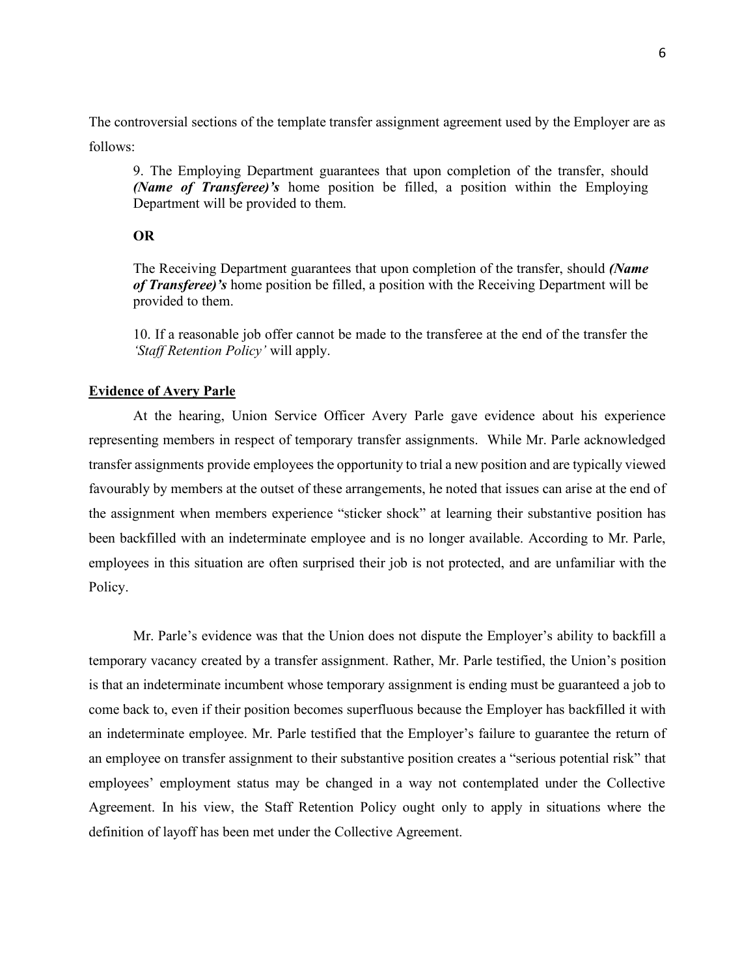The controversial sections of the template transfer assignment agreement used by the Employer are as follows:

9. The Employing Department guarantees that upon completion of the transfer, should *(Name of Transferee)'s* home position be filled, a position within the Employing Department will be provided to them.

#### **OR**

The Receiving Department guarantees that upon completion of the transfer, should *(Name of Transferee)'s* home position be filled, a position with the Receiving Department will be provided to them.

10. If a reasonable job offer cannot be made to the transferee at the end of the transfer the *'Staff Retention Policy'* will apply.

#### **Evidence of Avery Parle**

At the hearing, Union Service Officer Avery Parle gave evidence about his experience representing members in respect of temporary transfer assignments. While Mr. Parle acknowledged transfer assignments provide employees the opportunity to trial a new position and are typically viewed favourably by members at the outset of these arrangements, he noted that issues can arise at the end of the assignment when members experience "sticker shock" at learning their substantive position has been backfilled with an indeterminate employee and is no longer available. According to Mr. Parle, employees in this situation are often surprised their job is not protected, and are unfamiliar with the Policy.

Mr. Parle's evidence was that the Union does not dispute the Employer's ability to backfill a temporary vacancy created by a transfer assignment. Rather, Mr. Parle testified, the Union's position is that an indeterminate incumbent whose temporary assignment is ending must be guaranteed a job to come back to, even if their position becomes superfluous because the Employer has backfilled it with an indeterminate employee. Mr. Parle testified that the Employer's failure to guarantee the return of an employee on transfer assignment to their substantive position creates a "serious potential risk" that employees' employment status may be changed in a way not contemplated under the Collective Agreement. In his view, the Staff Retention Policy ought only to apply in situations where the definition of layoff has been met under the Collective Agreement.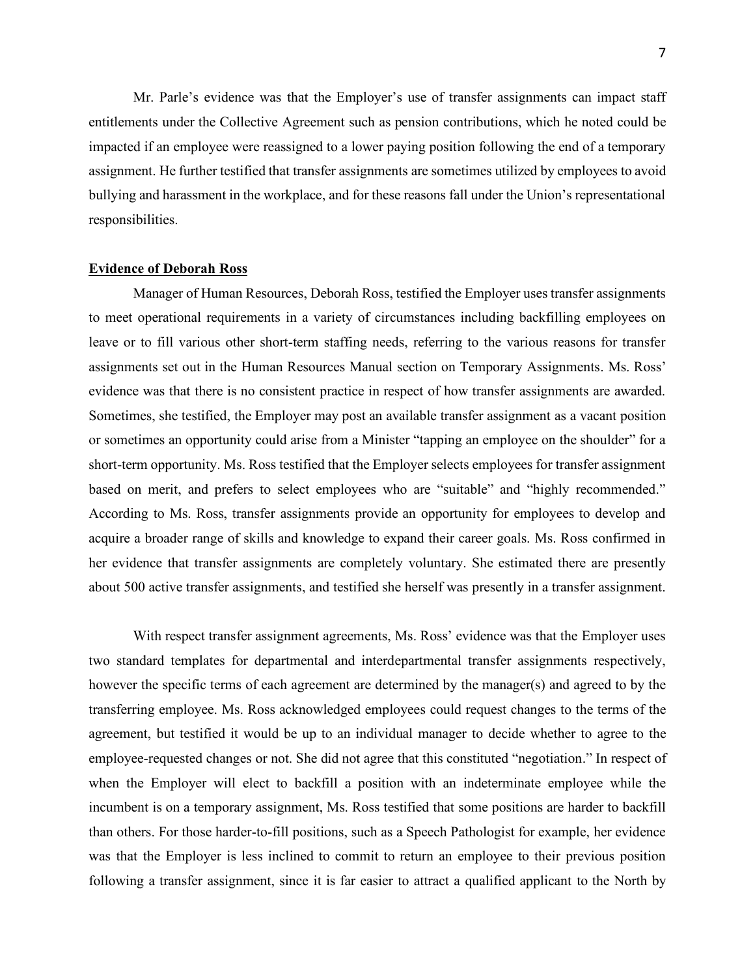Mr. Parle's evidence was that the Employer's use of transfer assignments can impact staff entitlements under the Collective Agreement such as pension contributions, which he noted could be impacted if an employee were reassigned to a lower paying position following the end of a temporary assignment. He further testified that transfer assignments are sometimes utilized by employees to avoid bullying and harassment in the workplace, and for these reasons fall under the Union's representational responsibilities.

#### **Evidence of Deborah Ross**

Manager of Human Resources, Deborah Ross, testified the Employer uses transfer assignments to meet operational requirements in a variety of circumstances including backfilling employees on leave or to fill various other short-term staffing needs, referring to the various reasons for transfer assignments set out in the Human Resources Manual section on Temporary Assignments. Ms. Ross' evidence was that there is no consistent practice in respect of how transfer assignments are awarded. Sometimes, she testified, the Employer may post an available transfer assignment as a vacant position or sometimes an opportunity could arise from a Minister "tapping an employee on the shoulder" for a short-term opportunity. Ms. Ross testified that the Employer selects employees for transfer assignment based on merit, and prefers to select employees who are "suitable" and "highly recommended." According to Ms. Ross, transfer assignments provide an opportunity for employees to develop and acquire a broader range of skills and knowledge to expand their career goals. Ms. Ross confirmed in her evidence that transfer assignments are completely voluntary. She estimated there are presently about 500 active transfer assignments, and testified she herself was presently in a transfer assignment.

With respect transfer assignment agreements, Ms. Ross' evidence was that the Employer uses two standard templates for departmental and interdepartmental transfer assignments respectively, however the specific terms of each agreement are determined by the manager(s) and agreed to by the transferring employee. Ms. Ross acknowledged employees could request changes to the terms of the agreement, but testified it would be up to an individual manager to decide whether to agree to the employee-requested changes or not. She did not agree that this constituted "negotiation." In respect of when the Employer will elect to backfill a position with an indeterminate employee while the incumbent is on a temporary assignment, Ms. Ross testified that some positions are harder to backfill than others. For those harder-to-fill positions, such as a Speech Pathologist for example, her evidence was that the Employer is less inclined to commit to return an employee to their previous position following a transfer assignment, since it is far easier to attract a qualified applicant to the North by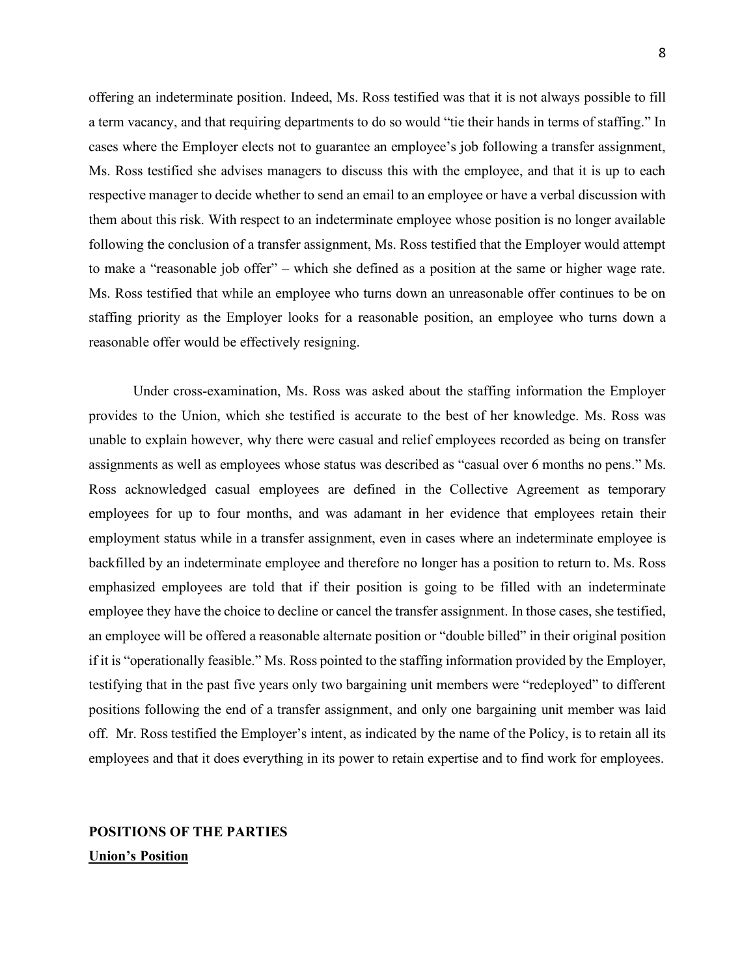offering an indeterminate position. Indeed, Ms. Ross testified was that it is not always possible to fill a term vacancy, and that requiring departments to do so would "tie their hands in terms of staffing." In cases where the Employer elects not to guarantee an employee's job following a transfer assignment, Ms. Ross testified she advises managers to discuss this with the employee, and that it is up to each respective manager to decide whether to send an email to an employee or have a verbal discussion with them about this risk. With respect to an indeterminate employee whose position is no longer available following the conclusion of a transfer assignment, Ms. Ross testified that the Employer would attempt to make a "reasonable job offer" – which she defined as a position at the same or higher wage rate. Ms. Ross testified that while an employee who turns down an unreasonable offer continues to be on staffing priority as the Employer looks for a reasonable position, an employee who turns down a reasonable offer would be effectively resigning.

Under cross-examination, Ms. Ross was asked about the staffing information the Employer provides to the Union, which she testified is accurate to the best of her knowledge. Ms. Ross was unable to explain however, why there were casual and relief employees recorded as being on transfer assignments as well as employees whose status was described as "casual over 6 months no pens." Ms. Ross acknowledged casual employees are defined in the Collective Agreement as temporary employees for up to four months, and was adamant in her evidence that employees retain their employment status while in a transfer assignment, even in cases where an indeterminate employee is backfilled by an indeterminate employee and therefore no longer has a position to return to. Ms. Ross emphasized employees are told that if their position is going to be filled with an indeterminate employee they have the choice to decline or cancel the transfer assignment. In those cases, she testified, an employee will be offered a reasonable alternate position or "double billed" in their original position if it is "operationally feasible." Ms. Ross pointed to the staffing information provided by the Employer, testifying that in the past five years only two bargaining unit members were "redeployed" to different positions following the end of a transfer assignment, and only one bargaining unit member was laid off. Mr. Ross testified the Employer's intent, as indicated by the name of the Policy, is to retain all its employees and that it does everything in its power to retain expertise and to find work for employees.

# **POSITIONS OF THE PARTIES Union's Position**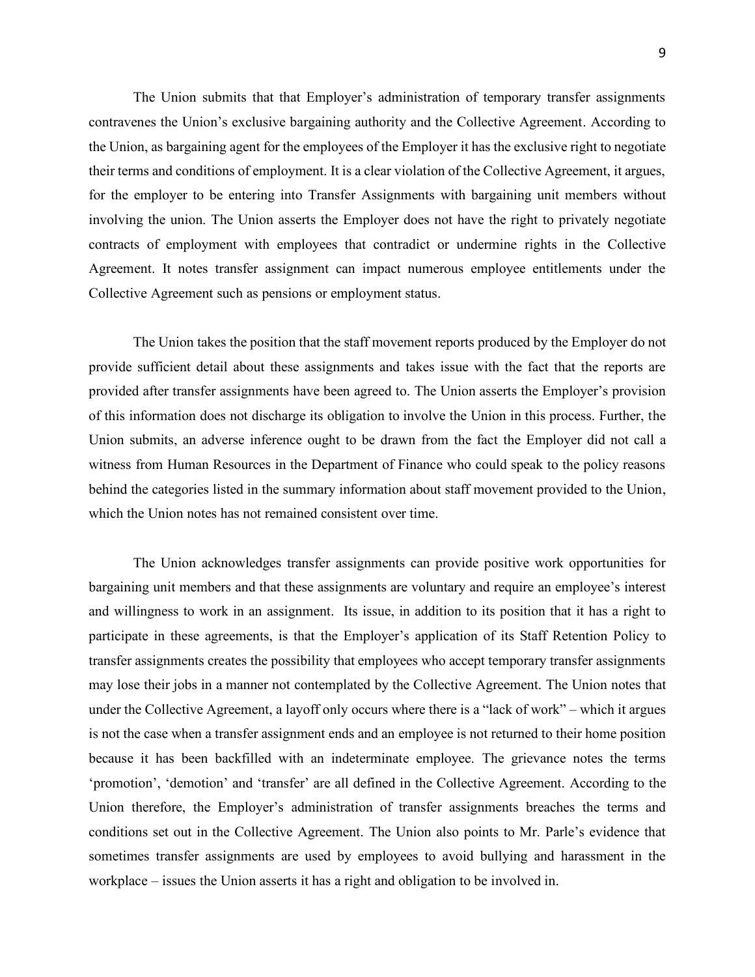The Union submits that that Employer's administration of temporary transfer assignments contravenes the Union's exclusive bargaining authority and the Collective Agreement. According to the Union, as bargaining agent for the employees of the Employer it has the exclusive right to negotiate their terms and conditions of employment. It is a clear violation of the Collective Agreement, it argues, for the employer to be entering into Transfer Assignments with bargaining unit members without involving the union. The Union asserts the Employer does not have the right to privately negotiate contracts of employment with employees that contradict or undermine rights in the Collective Agreement. It notes transfer assignment can impact numerous employee entitlements under the Collective Agreement such as pensions or employment status.

The Union takes the position that the staff movement reports produced by the Employer do not provide sufficient detail about these assignments and takes issue with the fact that the reports are provided after transfer assignments have been agreed to. The Union asserts the Employer's provision of this information does not discharge its obligation to involve the Union in this process. Further, the Union submits, an adverse inference ought to be drawn from the fact the Employer did not call a witness from Human Resources in the Department of Finance who could speak to the policy reasons behind the categories listed in the summary information about staff movement provided to the Union, which the Union notes has not remained consistent over time.

The Union acknowledges transfer assignments can provide positive work opportunities for bargaining unit members and that these assignments are voluntary and require an employee's interest and willingness to work in an assignment. Its issue, in addition to its position that it has a right to participate in these agreements, is that the Employer's application of its Staff Retention Policy to transfer assignments creates the possibility that employees who accept temporary transfer assignments may lose their jobs in a manner not contemplated by the Collective Agreement. The Union notes that under the Collective Agreement, a layoff only occurs where there is a "lack of work" – which it argues is not the case when a transfer assignment ends and an employee is not returned to their home position because it has been backfilled with an indeterminate employee. The grievance notes the terms 'promotion', 'demotion' and 'transfer' are all defined in the Collective Agreement. According to the Union therefore, the Employer's administration of transfer assignments breaches the terms and conditions set out in the Collective Agreement. The Union also points to Mr. Parle's evidence that sometimes transfer assignments are used by employees to avoid bullying and harassment in the workplace – issues the Union asserts it has a right and obligation to be involved in.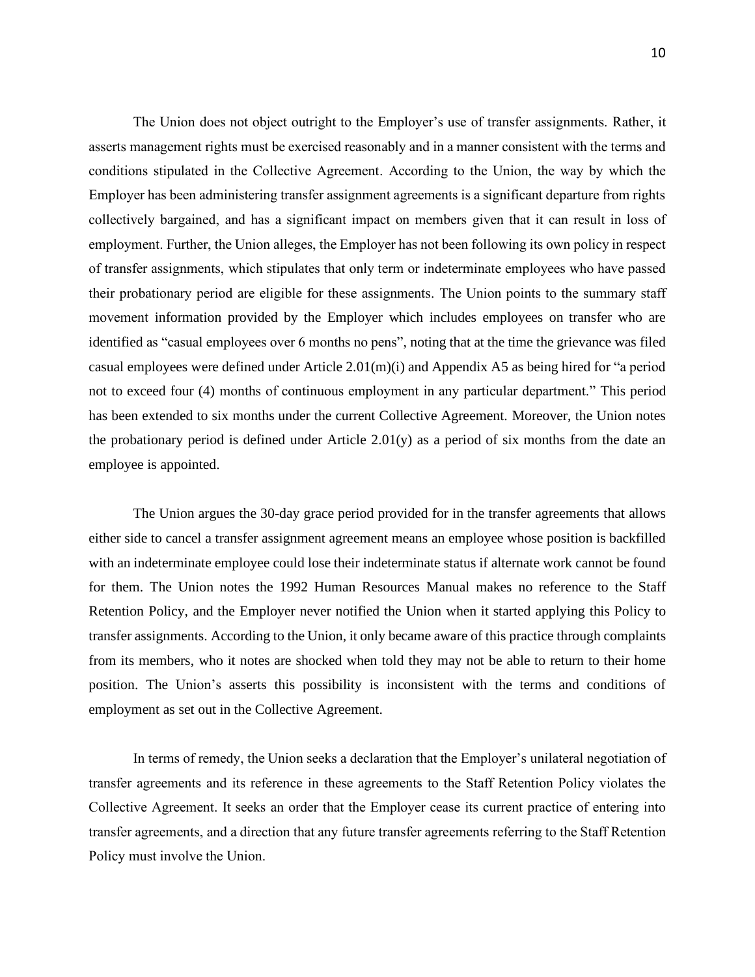The Union does not object outright to the Employer's use of transfer assignments. Rather, it asserts management rights must be exercised reasonably and in a manner consistent with the terms and conditions stipulated in the Collective Agreement. According to the Union, the way by which the Employer has been administering transfer assignment agreements is a significant departure from rights collectively bargained, and has a significant impact on members given that it can result in loss of employment. Further, the Union alleges, the Employer has not been following its own policy in respect of transfer assignments, which stipulates that only term or indeterminate employees who have passed their probationary period are eligible for these assignments. The Union points to the summary staff movement information provided by the Employer which includes employees on transfer who are identified as "casual employees over 6 months no pens", noting that at the time the grievance was filed casual employees were defined under Article 2.01(m)(i) and Appendix A5 as being hired for "a period not to exceed four (4) months of continuous employment in any particular department." This period has been extended to six months under the current Collective Agreement. Moreover, the Union notes the probationary period is defined under Article 2.01(y) as a period of six months from the date an employee is appointed.

The Union argues the 30-day grace period provided for in the transfer agreements that allows either side to cancel a transfer assignment agreement means an employee whose position is backfilled with an indeterminate employee could lose their indeterminate status if alternate work cannot be found for them. The Union notes the 1992 Human Resources Manual makes no reference to the Staff Retention Policy, and the Employer never notified the Union when it started applying this Policy to transfer assignments. According to the Union, it only became aware of this practice through complaints from its members, who it notes are shocked when told they may not be able to return to their home position. The Union's asserts this possibility is inconsistent with the terms and conditions of employment as set out in the Collective Agreement.

In terms of remedy, the Union seeks a declaration that the Employer's unilateral negotiation of transfer agreements and its reference in these agreements to the Staff Retention Policy violates the Collective Agreement. It seeks an order that the Employer cease its current practice of entering into transfer agreements, and a direction that any future transfer agreements referring to the Staff Retention Policy must involve the Union.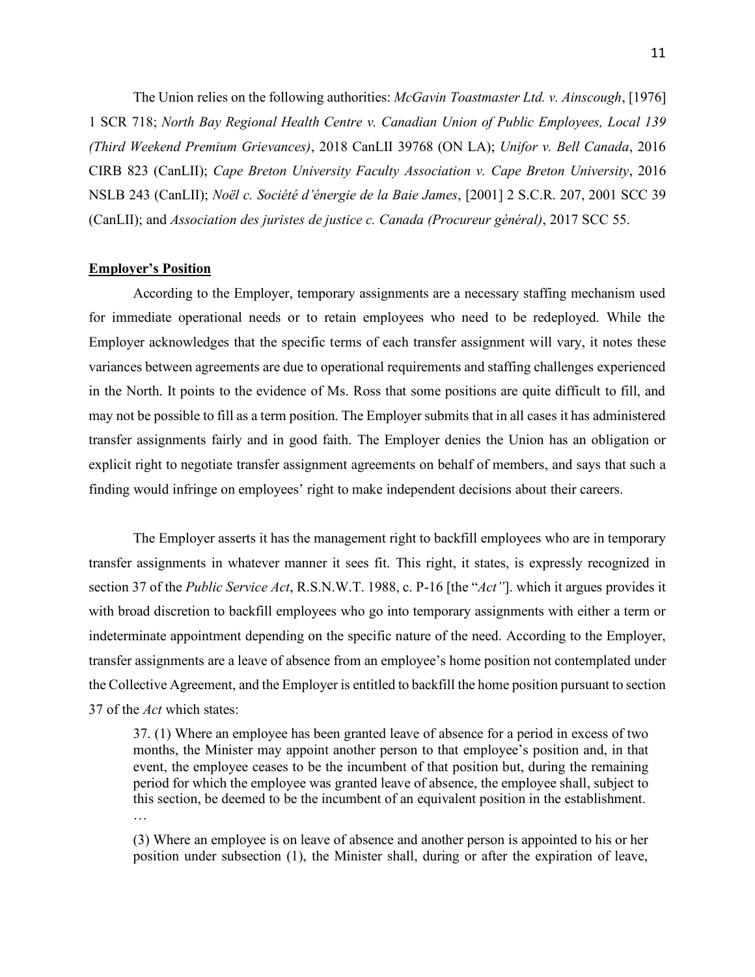The Union relies on the following authorities: *McGavin Toastmaster Ltd. v. Ainscough*, [1976] 1 SCR 718; *North Bay Regional Health Centre v. Canadian Union of Public Employees, Local 139 (Third Weekend Premium Grievances)*, 2018 CanLII 39768 (ON LA); *Unifor v. Bell Canada*, 2016 CIRB 823 (CanLII); *Cape Breton University Faculty Association v. Cape Breton University*, 2016 NSLB 243 (CanLII); *Noël c. Société d'énergie de la Baie James*, [2001] 2 S.C.R. 207, 2001 SCC 39 (CanLII); and *Association des juristes de justice c. Canada (Procureur général)*, 2017 SCC 55.

## **Employer's Position**

According to the Employer, temporary assignments are a necessary staffing mechanism used for immediate operational needs or to retain employees who need to be redeployed. While the Employer acknowledges that the specific terms of each transfer assignment will vary, it notes these variances between agreements are due to operational requirements and staffing challenges experienced in the North. It points to the evidence of Ms. Ross that some positions are quite difficult to fill, and may not be possible to fill as a term position. The Employer submits that in all cases it has administered transfer assignments fairly and in good faith. The Employer denies the Union has an obligation or explicit right to negotiate transfer assignment agreements on behalf of members, and says that such a finding would infringe on employees' right to make independent decisions about their careers.

The Employer asserts it has the management right to backfill employees who are in temporary transfer assignments in whatever manner it sees fit. This right, it states, is expressly recognized in section 37 of the *Public Service Act*, R.S.N.W.T. 1988, c. P-16 [the "*Act"*]. which it argues provides it with broad discretion to backfill employees who go into temporary assignments with either a term or indeterminate appointment depending on the specific nature of the need. According to the Employer, transfer assignments are a leave of absence from an employee's home position not contemplated under the Collective Agreement, and the Employer is entitled to backfill the home position pursuant to section 37 of the *Act* which states:

37. (1) Where an employee has been granted leave of absence for a period in excess of two months, the Minister may appoint another person to that employee's position and, in that event, the employee ceases to be the incumbent of that position but, during the remaining period for which the employee was granted leave of absence, the employee shall, subject to this section, be deemed to be the incumbent of an equivalent position in the establishment. …

(3) Where an employee is on leave of absence and another person is appointed to his or her position under subsection (1), the Minister shall, during or after the expiration of leave,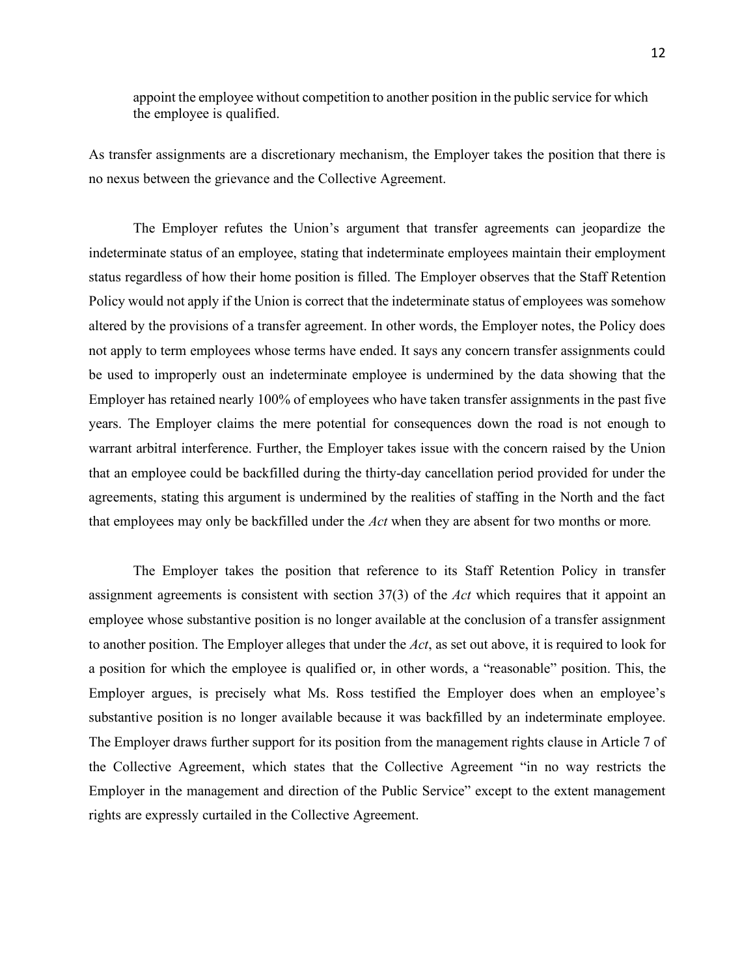appoint the employee without competition to another position in the public service for which the employee is qualified.

As transfer assignments are a discretionary mechanism, the Employer takes the position that there is no nexus between the grievance and the Collective Agreement.

The Employer refutes the Union's argument that transfer agreements can jeopardize the indeterminate status of an employee, stating that indeterminate employees maintain their employment status regardless of how their home position is filled. The Employer observes that the Staff Retention Policy would not apply if the Union is correct that the indeterminate status of employees was somehow altered by the provisions of a transfer agreement. In other words, the Employer notes, the Policy does not apply to term employees whose terms have ended. It says any concern transfer assignments could be used to improperly oust an indeterminate employee is undermined by the data showing that the Employer has retained nearly 100% of employees who have taken transfer assignments in the past five years. The Employer claims the mere potential for consequences down the road is not enough to warrant arbitral interference. Further, the Employer takes issue with the concern raised by the Union that an employee could be backfilled during the thirty-day cancellation period provided for under the agreements, stating this argument is undermined by the realities of staffing in the North and the fact that employees may only be backfilled under the *Act* when they are absent for two months or more*.* 

The Employer takes the position that reference to its Staff Retention Policy in transfer assignment agreements is consistent with section 37(3) of the *Act* which requires that it appoint an employee whose substantive position is no longer available at the conclusion of a transfer assignment to another position. The Employer alleges that under the *Act*, as set out above, it is required to look for a position for which the employee is qualified or, in other words, a "reasonable" position. This, the Employer argues, is precisely what Ms. Ross testified the Employer does when an employee's substantive position is no longer available because it was backfilled by an indeterminate employee. The Employer draws further support for its position from the management rights clause in Article 7 of the Collective Agreement, which states that the Collective Agreement "in no way restricts the Employer in the management and direction of the Public Service" except to the extent management rights are expressly curtailed in the Collective Agreement.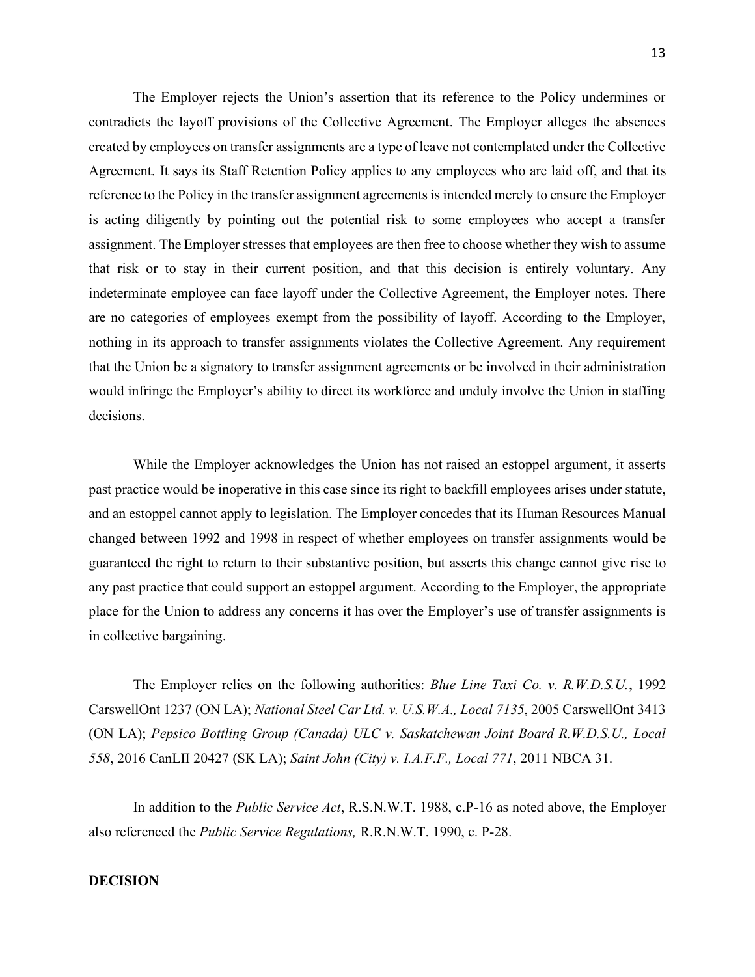The Employer rejects the Union's assertion that its reference to the Policy undermines or contradicts the layoff provisions of the Collective Agreement. The Employer alleges the absences created by employees on transfer assignments are a type of leave not contemplated under the Collective Agreement. It says its Staff Retention Policy applies to any employees who are laid off, and that its reference to the Policy in the transfer assignment agreements is intended merely to ensure the Employer is acting diligently by pointing out the potential risk to some employees who accept a transfer assignment. The Employer stresses that employees are then free to choose whether they wish to assume that risk or to stay in their current position, and that this decision is entirely voluntary. Any indeterminate employee can face layoff under the Collective Agreement, the Employer notes. There are no categories of employees exempt from the possibility of layoff. According to the Employer, nothing in its approach to transfer assignments violates the Collective Agreement. Any requirement that the Union be a signatory to transfer assignment agreements or be involved in their administration would infringe the Employer's ability to direct its workforce and unduly involve the Union in staffing decisions.

While the Employer acknowledges the Union has not raised an estoppel argument, it asserts past practice would be inoperative in this case since its right to backfill employees arises under statute, and an estoppel cannot apply to legislation. The Employer concedes that its Human Resources Manual changed between 1992 and 1998 in respect of whether employees on transfer assignments would be guaranteed the right to return to their substantive position, but asserts this change cannot give rise to any past practice that could support an estoppel argument. According to the Employer, the appropriate place for the Union to address any concerns it has over the Employer's use of transfer assignments is in collective bargaining.

The Employer relies on the following authorities: *Blue Line Taxi Co. v. R.W.D.S.U.*, 1992 CarswellOnt 1237 (ON LA); *National Steel Car Ltd. v. U.S.W.A., Local 7135*, 2005 CarswellOnt 3413 (ON LA); *Pepsico Bottling Group (Canada) ULC v. Saskatchewan Joint Board R.W.D.S.U., Local 558*, 2016 CanLII 20427 (SK LA); *Saint John (City) v. I.A.F.F., Local 771*, 2011 NBCA 31.

In addition to the *Public Service Act*, R.S.N.W.T. 1988, c.P-16 as noted above, the Employer also referenced the *Public Service Regulations,* R.R.N.W.T. 1990, c. P-28.

## **DECISION**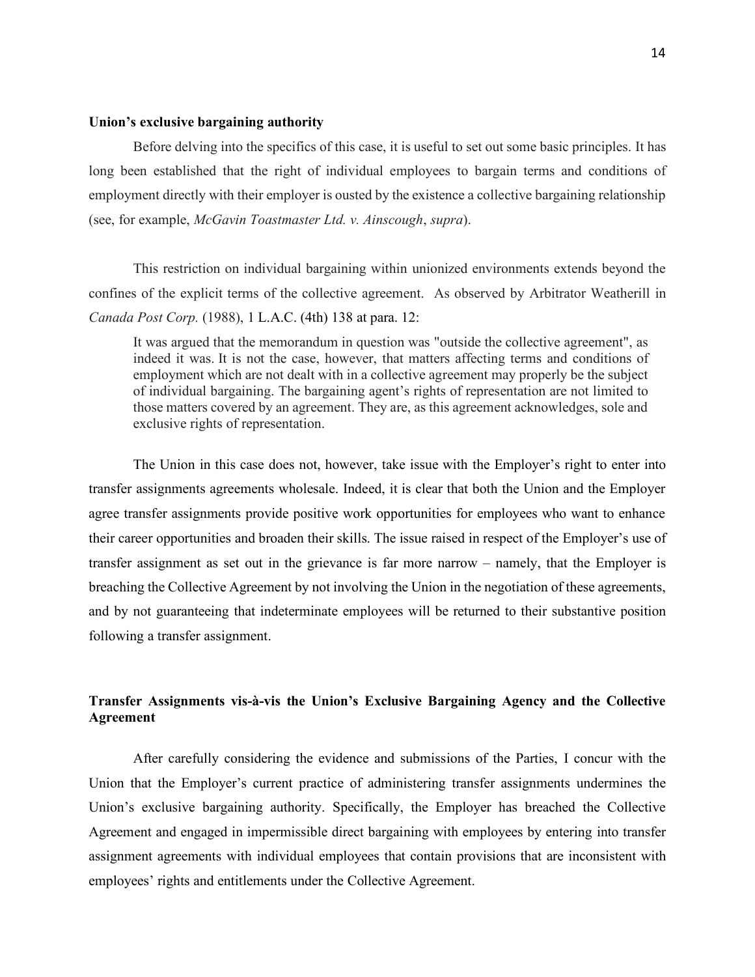#### **Union's exclusive bargaining authority**

Before delving into the specifics of this case, it is useful to set out some basic principles. It has long been established that the right of individual employees to bargain terms and conditions of employment directly with their employer is ousted by the existence a collective bargaining relationship (see, for example, *McGavin Toastmaster Ltd. v. Ainscough*, *supra*).

This restriction on individual bargaining within unionized environments extends beyond the confines of the explicit terms of the collective agreement. As observed by Arbitrator Weatherill in *Canada Post Corp.* (1988), 1 L.A.C. (4th) 138 at para. 12:

It was argued that the memorandum in question was "outside the collective agreement", as indeed it was. It is not the case, however, that matters affecting terms and conditions of employment which are not dealt with in a collective agreement may properly be the subject of individual bargaining. The bargaining agent's rights of representation are not limited to those matters covered by an agreement. They are, as this agreement acknowledges, sole and exclusive rights of representation.

The Union in this case does not, however, take issue with the Employer's right to enter into transfer assignments agreements wholesale. Indeed, it is clear that both the Union and the Employer agree transfer assignments provide positive work opportunities for employees who want to enhance their career opportunities and broaden their skills. The issue raised in respect of the Employer's use of transfer assignment as set out in the grievance is far more narrow – namely, that the Employer is breaching the Collective Agreement by not involving the Union in the negotiation of these agreements, and by not guaranteeing that indeterminate employees will be returned to their substantive position following a transfer assignment.

# **Transfer Assignments vis-à-vis the Union's Exclusive Bargaining Agency and the Collective Agreement**

After carefully considering the evidence and submissions of the Parties, I concur with the Union that the Employer's current practice of administering transfer assignments undermines the Union's exclusive bargaining authority. Specifically, the Employer has breached the Collective Agreement and engaged in impermissible direct bargaining with employees by entering into transfer assignment agreements with individual employees that contain provisions that are inconsistent with employees' rights and entitlements under the Collective Agreement.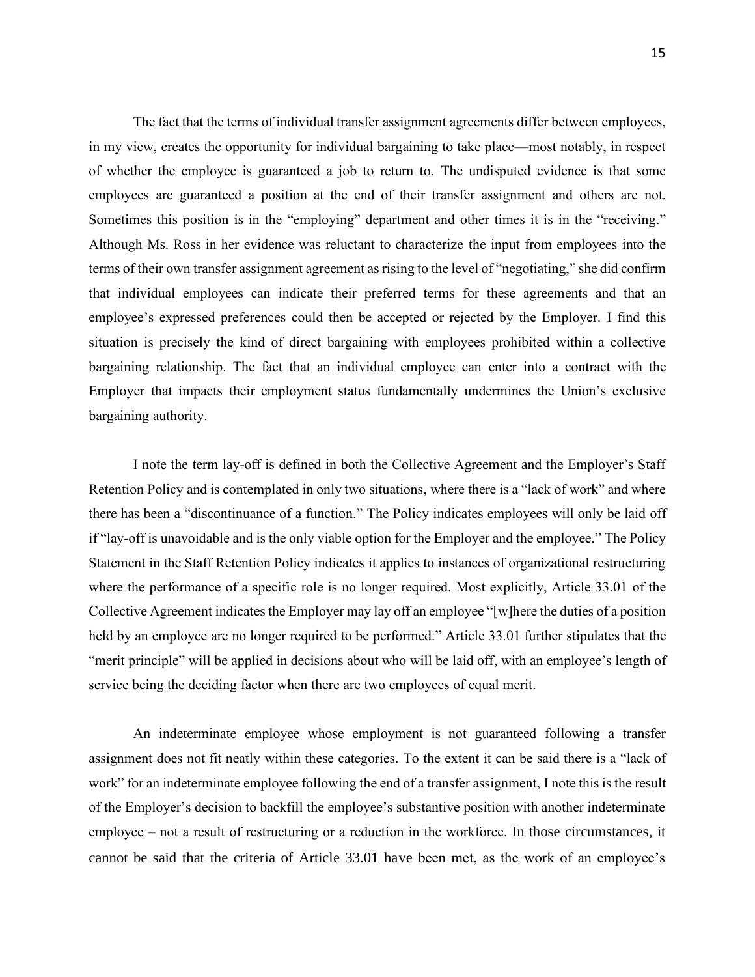The fact that the terms of individual transfer assignment agreements differ between employees, in my view, creates the opportunity for individual bargaining to take place—most notably, in respect of whether the employee is guaranteed a job to return to. The undisputed evidence is that some employees are guaranteed a position at the end of their transfer assignment and others are not. Sometimes this position is in the "employing" department and other times it is in the "receiving." Although Ms. Ross in her evidence was reluctant to characterize the input from employees into the terms of their own transfer assignment agreement as rising to the level of "negotiating," she did confirm that individual employees can indicate their preferred terms for these agreements and that an employee's expressed preferences could then be accepted or rejected by the Employer. I find this situation is precisely the kind of direct bargaining with employees prohibited within a collective bargaining relationship. The fact that an individual employee can enter into a contract with the Employer that impacts their employment status fundamentally undermines the Union's exclusive bargaining authority.

I note the term lay-off is defined in both the Collective Agreement and the Employer's Staff Retention Policy and is contemplated in only two situations, where there is a "lack of work" and where there has been a "discontinuance of a function." The Policy indicates employees will only be laid off if "lay-off is unavoidable and is the only viable option for the Employer and the employee." The Policy Statement in the Staff Retention Policy indicates it applies to instances of organizational restructuring where the performance of a specific role is no longer required. Most explicitly, Article 33.01 of the Collective Agreement indicates the Employer may lay off an employee "[w]here the duties of a position held by an employee are no longer required to be performed." Article 33.01 further stipulates that the "merit principle" will be applied in decisions about who will be laid off, with an employee's length of service being the deciding factor when there are two employees of equal merit.

An indeterminate employee whose employment is not guaranteed following a transfer assignment does not fit neatly within these categories. To the extent it can be said there is a "lack of work" for an indeterminate employee following the end of a transfer assignment, I note this is the result of the Employer's decision to backfill the employee's substantive position with another indeterminate employee – not a result of restructuring or a reduction in the workforce. In those circumstances, it cannot be said that the criteria of Article 33.01 have been met, as the work of an employee's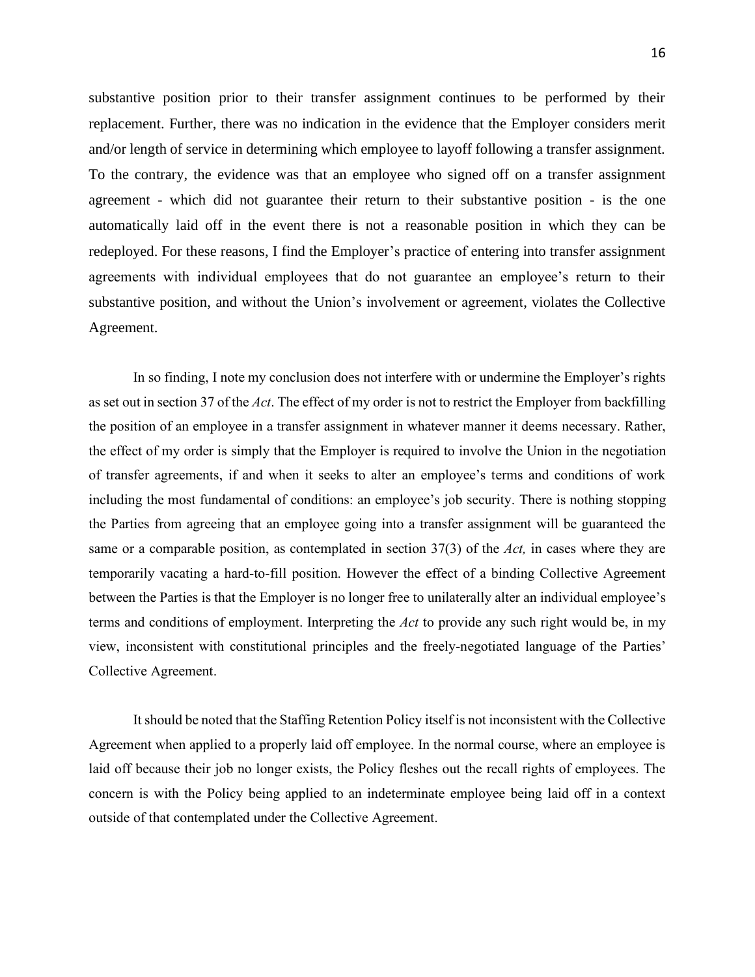substantive position prior to their transfer assignment continues to be performed by their replacement. Further, there was no indication in the evidence that the Employer considers merit and/or length of service in determining which employee to layoff following a transfer assignment. To the contrary, the evidence was that an employee who signed off on a transfer assignment agreement - which did not guarantee their return to their substantive position - is the one automatically laid off in the event there is not a reasonable position in which they can be redeployed. For these reasons, I find the Employer's practice of entering into transfer assignment agreements with individual employees that do not guarantee an employee's return to their substantive position, and without the Union's involvement or agreement, violates the Collective Agreement.

In so finding, I note my conclusion does not interfere with or undermine the Employer's rights as set out in section 37 of the *Act*. The effect of my order is not to restrict the Employer from backfilling the position of an employee in a transfer assignment in whatever manner it deems necessary. Rather, the effect of my order is simply that the Employer is required to involve the Union in the negotiation of transfer agreements, if and when it seeks to alter an employee's terms and conditions of work including the most fundamental of conditions: an employee's job security. There is nothing stopping the Parties from agreeing that an employee going into a transfer assignment will be guaranteed the same or a comparable position, as contemplated in section 37(3) of the *Act,* in cases where they are temporarily vacating a hard-to-fill position. However the effect of a binding Collective Agreement between the Parties is that the Employer is no longer free to unilaterally alter an individual employee's terms and conditions of employment. Interpreting the *Act* to provide any such right would be, in my view, inconsistent with constitutional principles and the freely-negotiated language of the Parties' Collective Agreement.

It should be noted that the Staffing Retention Policy itself is not inconsistent with the Collective Agreement when applied to a properly laid off employee. In the normal course, where an employee is laid off because their job no longer exists, the Policy fleshes out the recall rights of employees. The concern is with the Policy being applied to an indeterminate employee being laid off in a context outside of that contemplated under the Collective Agreement.